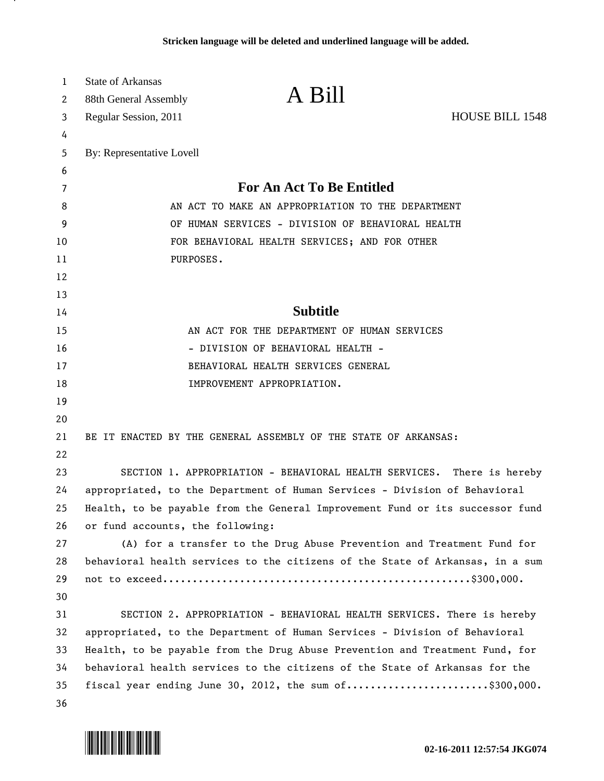| 1  | <b>State of Arkansas</b>                          |                                                                               |                        |
|----|---------------------------------------------------|-------------------------------------------------------------------------------|------------------------|
| 2  | 88th General Assembly                             | A Bill                                                                        |                        |
| 3  | Regular Session, 2011                             |                                                                               | <b>HOUSE BILL 1548</b> |
| 4  |                                                   |                                                                               |                        |
| 5  | By: Representative Lovell                         |                                                                               |                        |
| 6  |                                                   |                                                                               |                        |
| 7  |                                                   | <b>For An Act To Be Entitled</b>                                              |                        |
| 8  | AN ACT TO MAKE AN APPROPRIATION TO THE DEPARTMENT |                                                                               |                        |
| 9  | OF HUMAN SERVICES - DIVISION OF BEHAVIORAL HEALTH |                                                                               |                        |
| 10 | FOR BEHAVIORAL HEALTH SERVICES; AND FOR OTHER     |                                                                               |                        |
| 11 | PURPOSES.                                         |                                                                               |                        |
| 12 |                                                   |                                                                               |                        |
| 13 |                                                   |                                                                               |                        |
| 14 |                                                   | <b>Subtitle</b>                                                               |                        |
| 15 |                                                   | AN ACT FOR THE DEPARTMENT OF HUMAN SERVICES                                   |                        |
| 16 |                                                   | - DIVISION OF BEHAVIORAL HEALTH -                                             |                        |
| 17 |                                                   | BEHAVIORAL HEALTH SERVICES GENERAL                                            |                        |
| 18 |                                                   | IMPROVEMENT APPROPRIATION.                                                    |                        |
| 19 |                                                   |                                                                               |                        |
| 20 |                                                   |                                                                               |                        |
| 21 |                                                   | BE IT ENACTED BY THE GENERAL ASSEMBLY OF THE STATE OF ARKANSAS:               |                        |
| 22 |                                                   |                                                                               |                        |
| 23 |                                                   | SECTION 1. APPROPRIATION - BEHAVIORAL HEALTH SERVICES. There is hereby        |                        |
| 24 |                                                   | appropriated, to the Department of Human Services - Division of Behavioral    |                        |
| 25 |                                                   | Health, to be payable from the General Improvement Fund or its successor fund |                        |
| 26 | or fund accounts, the following:                  |                                                                               |                        |
| 27 |                                                   | (A) for a transfer to the Drug Abuse Prevention and Treatment Fund for        |                        |
| 28 |                                                   | behavioral health services to the citizens of the State of Arkansas, in a sum |                        |
| 29 |                                                   |                                                                               |                        |
| 30 |                                                   |                                                                               |                        |
| 31 |                                                   | SECTION 2. APPROPRIATION - BEHAVIORAL HEALTH SERVICES. There is hereby        |                        |
| 32 |                                                   | appropriated, to the Department of Human Services - Division of Behavioral    |                        |
| 33 |                                                   | Health, to be payable from the Drug Abuse Prevention and Treatment Fund, for  |                        |
| 34 |                                                   | behavioral health services to the citizens of the State of Arkansas for the   |                        |
| 35 |                                                   | fiscal year ending June 30, 2012, the sum of\$300,000.                        |                        |
| 36 |                                                   |                                                                               |                        |



л.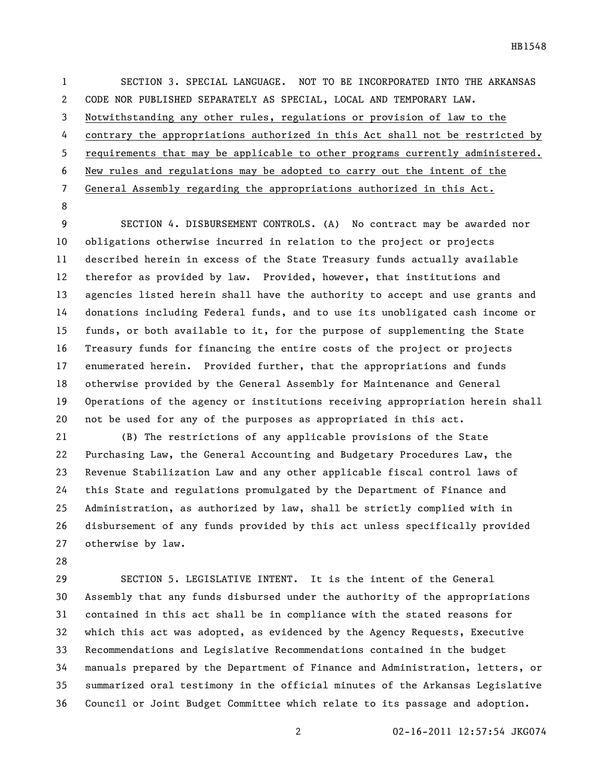SECTION 3. SPECIAL LANGUAGE. NOT TO BE INCORPORATED INTO THE ARKANSAS CODE NOR PUBLISHED SEPARATELY AS SPECIAL, LOCAL AND TEMPORARY LAW. Notwithstanding any other rules, regulations or provision of law to the contrary the appropriations authorized in this Act shall not be restricted by requirements that may be applicable to other programs currently administered. New rules and regulations may be adopted to carry out the intent of the General Assembly regarding the appropriations authorized in this Act. 

 SECTION 4. DISBURSEMENT CONTROLS. (A) No contract may be awarded nor obligations otherwise incurred in relation to the project or projects described herein in excess of the State Treasury funds actually available therefor as provided by law. Provided, however, that institutions and agencies listed herein shall have the authority to accept and use grants and donations including Federal funds, and to use its unobligated cash income or funds, or both available to it, for the purpose of supplementing the State Treasury funds for financing the entire costs of the project or projects enumerated herein. Provided further, that the appropriations and funds otherwise provided by the General Assembly for Maintenance and General Operations of the agency or institutions receiving appropriation herein shall not be used for any of the purposes as appropriated in this act.

 (B) The restrictions of any applicable provisions of the State Purchasing Law, the General Accounting and Budgetary Procedures Law, the Revenue Stabilization Law and any other applicable fiscal control laws of this State and regulations promulgated by the Department of Finance and Administration, as authorized by law, shall be strictly complied with in disbursement of any funds provided by this act unless specifically provided otherwise by law.

 SECTION 5. LEGISLATIVE INTENT. It is the intent of the General Assembly that any funds disbursed under the authority of the appropriations contained in this act shall be in compliance with the stated reasons for which this act was adopted, as evidenced by the Agency Requests, Executive Recommendations and Legislative Recommendations contained in the budget manuals prepared by the Department of Finance and Administration, letters, or summarized oral testimony in the official minutes of the Arkansas Legislative Council or Joint Budget Committee which relate to its passage and adoption.